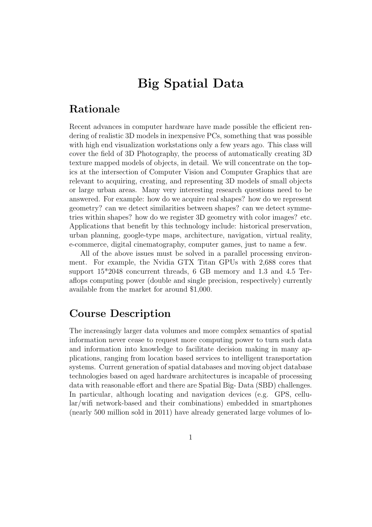# Big Spatial Data

### Rationale

Recent advances in computer hardware have made possible the efficient rendering of realistic 3D models in inexpensive PCs, something that was possible with high end visualization workstations only a few years ago. This class will cover the field of 3D Photography, the process of automatically creating 3D texture mapped models of objects, in detail. We will concentrate on the topics at the intersection of Computer Vision and Computer Graphics that are relevant to acquiring, creating, and representing 3D models of small objects or large urban areas. Many very interesting research questions need to be answered. For example: how do we acquire real shapes? how do we represent geometry? can we detect similarities between shapes? can we detect symmetries within shapes? how do we register 3D geometry with color images? etc. Applications that benefit by this technology include: historical preservation, urban planning, google-type maps, architecture, navigation, virtual reality, e-commerce, digital cinematography, computer games, just to name a few.

All of the above issues must be solved in a parallel processing environment. For example, the Nvidia GTX Titan GPUs with 2,688 cores that support 15\*2048 concurrent threads, 6 GB memory and 1.3 and 4.5 Teraflops computing power (double and single precision, respectively) currently available from the market for around \$1,000.

#### Course Description

The increasingly larger data volumes and more complex semantics of spatial information never cease to request more computing power to turn such data and information into knowledge to facilitate decision making in many applications, ranging from location based services to intelligent transportation systems. Current generation of spatial databases and moving object database technologies based on aged hardware architectures is incapable of processing data with reasonable effort and there are Spatial Big- Data (SBD) challenges. In particular, although locating and navigation devices (e.g. GPS, cellular/wifi network-based and their combinations) embedded in smartphones (nearly 500 million sold in 2011) have already generated large volumes of lo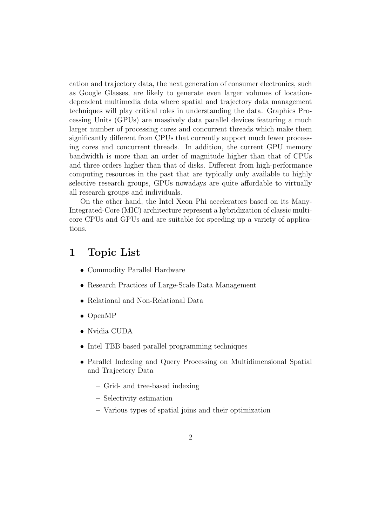cation and trajectory data, the next generation of consumer electronics, such as Google Glasses, are likely to generate even larger volumes of locationdependent multimedia data where spatial and trajectory data management techniques will play critical roles in understanding the data. Graphics Processing Units (GPUs) are massively data parallel devices featuring a much larger number of processing cores and concurrent threads which make them significantly different from CPUs that currently support much fewer processing cores and concurrent threads. In addition, the current GPU memory bandwidth is more than an order of magnitude higher than that of CPUs and three orders higher than that of disks. Different from high-performance computing resources in the past that are typically only available to highly selective research groups, GPUs nowadays are quite affordable to virtually all research groups and individuals.

On the other hand, the Intel Xeon Phi accelerators based on its Many-Integrated-Core (MIC) architecture represent a hybridization of classic multicore CPUs and GPUs and are suitable for speeding up a variety of applications.

#### 1 Topic List

- Commodity Parallel Hardware
- Research Practices of Large-Scale Data Management
- Relational and Non-Relational Data
- OpenMP
- Nvidia CUDA
- Intel TBB based parallel programming techniques
- Parallel Indexing and Query Processing on Multidimensional Spatial and Trajectory Data
	- Grid- and tree-based indexing
	- Selectivity estimation
	- Various types of spatial joins and their optimization